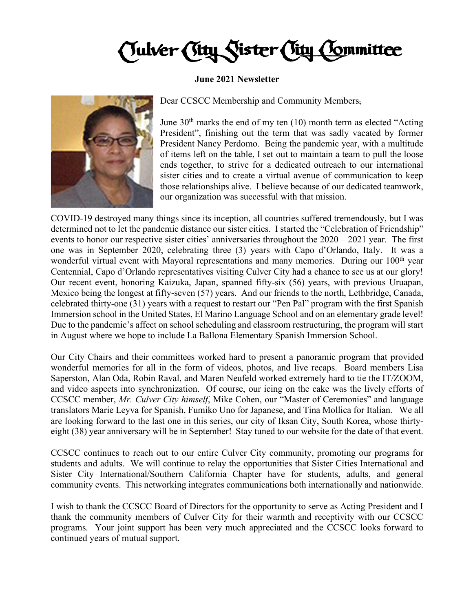Tulver (Tity Sister City Committee

## **June 2021 Newsletter**



Dear CCSCC Membership and Community Members,

June  $30<sup>th</sup>$  marks the end of my ten (10) month term as elected "Acting President", finishing out the term that was sadly vacated by former President Nancy Perdomo. Being the pandemic year, with a multitude of items left on the table, I set out to maintain a team to pull the loose ends together, to strive for a dedicated outreach to our international sister cities and to create a virtual avenue of communication to keep those relationships alive. I believe because of our dedicated teamwork, our organization was successful with that mission.

COVID-19 destroyed many things since its inception, all countries suffered tremendously, but I was determined not to let the pandemic distance our sister cities. I started the "Celebration of Friendship" events to honor our respective sister cities' anniversaries throughout the 2020 – 2021 year. The first one was in September 2020, celebrating three (3) years with Capo d'Orlando, Italy. It was a wonderful virtual event with Mayoral representations and many memories. During our 100<sup>th</sup> year Centennial, Capo d'Orlando representatives visiting Culver City had a chance to see us at our glory! Our recent event, honoring Kaizuka, Japan, spanned fifty-six (56) years, with previous Uruapan, Mexico being the longest at fifty-seven (57) years. And our friends to the north, Lethbridge, Canada, celebrated thirty-one (31) years with a request to restart our "Pen Pal" program with the first Spanish Immersion school in the United States, El Marino Language School and on an elementary grade level! Due to the pandemic's affect on school scheduling and classroom restructuring, the program will start in August where we hope to include La Ballona Elementary Spanish Immersion School.

Our City Chairs and their committees worked hard to present a panoramic program that provided wonderful memories for all in the form of videos, photos, and live recaps. Board members Lisa Saperston, Alan Oda, Robin Raval, and Maren Neufeld worked extremely hard to tie the IT/ZOOM, and video aspects into synchronization. Of course, our icing on the cake was the lively efforts of CCSCC member, *Mr. Culver City himself*, Mike Cohen, our "Master of Ceremonies" and language translators Marie Leyva for Spanish, Fumiko Uno for Japanese, and Tina Mollica for Italian. We all are looking forward to the last one in this series, our city of Iksan City, South Korea, whose thirtyeight (38) year anniversary will be in September! Stay tuned to our website for the date of that event.

CCSCC continues to reach out to our entire Culver City community, promoting our programs for students and adults. We will continue to relay the opportunities that Sister Cities International and Sister City International/Southern California Chapter have for students, adults, and general community events. This networking integrates communications both internationally and nationwide.

I wish to thank the CCSCC Board of Directors for the opportunity to serve as Acting President and I thank the community members of Culver City for their warmth and receptivity with our CCSCC programs. Your joint support has been very much appreciated and the CCSCC looks forward to continued years of mutual support.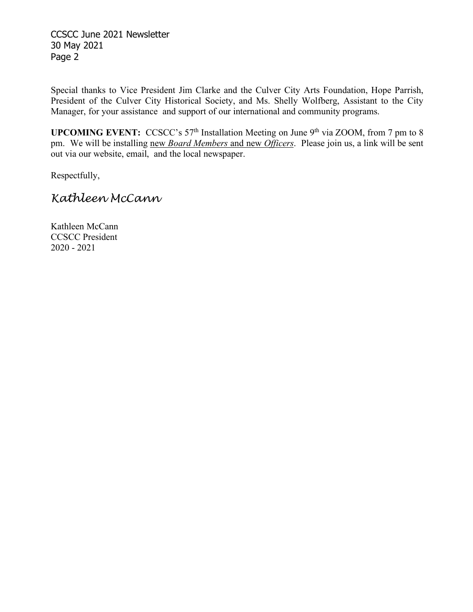CCSCC June 2021 Newsletter 30 May 2021 Page 2

Special thanks to Vice President Jim Clarke and the Culver City Arts Foundation, Hope Parrish, President of the Culver City Historical Society, and Ms. Shelly Wolfberg, Assistant to the City Manager, for your assistance and support of our international and community programs.

**UPCOMING EVENT:** CCSCC's 57<sup>th</sup> Installation Meeting on June 9<sup>th</sup> via ZOOM, from 7 pm to 8 pm. We will be installing new *Board Members* and new *Officers*. Please join us, a link will be sent out via our website, email, and the local newspaper.

Respectfully,

## *Kathleen McCann*

Kathleen McCann CCSCC President 2020 - 2021